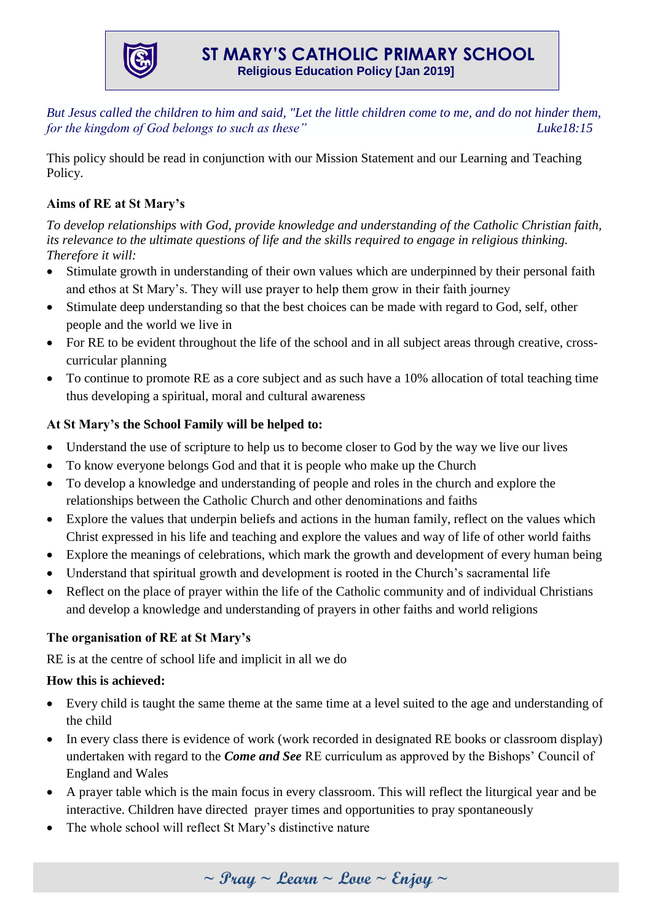

*But Jesus called the children to him and said, "Let the little children come to me, and do not hinder them, for the kingdom of God belongs to such as these*" Luke18:15

This policy should be read in conjunction with our Mission Statement and our Learning and Teaching Policy.

# **Aims of RE at St Mary's**

*To develop relationships with God, provide knowledge and understanding of the Catholic Christian faith, its relevance to the ultimate questions of life and the skills required to engage in religious thinking. Therefore it will:*

- Stimulate growth in understanding of their own values which are underpinned by their personal faith and ethos at St Mary's. They will use prayer to help them grow in their faith journey
- Stimulate deep understanding so that the best choices can be made with regard to God, self, other people and the world we live in
- For RE to be evident throughout the life of the school and in all subject areas through creative, crosscurricular planning
- To continue to promote RE as a core subject and as such have a 10% allocation of total teaching time thus developing a spiritual, moral and cultural awareness

## **At St Mary's the School Family will be helped to:**

- Understand the use of scripture to help us to become closer to God by the way we live our lives
- To know everyone belongs God and that it is people who make up the Church
- To develop a knowledge and understanding of people and roles in the church and explore the relationships between the Catholic Church and other denominations and faiths
- Explore the values that underpin beliefs and actions in the human family, reflect on the values which Christ expressed in his life and teaching and explore the values and way of life of other world faiths
- Explore the meanings of celebrations, which mark the growth and development of every human being
- Understand that spiritual growth and development is rooted in the Church's sacramental life
- Reflect on the place of prayer within the life of the Catholic community and of individual Christians and develop a knowledge and understanding of prayers in other faiths and world religions

## **The organisation of RE at St Mary's**

RE is at the centre of school life and implicit in all we do

## **How this is achieved:**

- Every child is taught the same theme at the same time at a level suited to the age and understanding of the child
- In every class there is evidence of work (work recorded in designated RE books or classroom display) undertaken with regard to the *Come and See* RE curriculum as approved by the Bishops' Council of England and Wales
- A prayer table which is the main focus in every classroom. This will reflect the liturgical year and be interactive. Children have directed prayer times and opportunities to pray spontaneously
- The whole school will reflect St Mary's distinctive nature

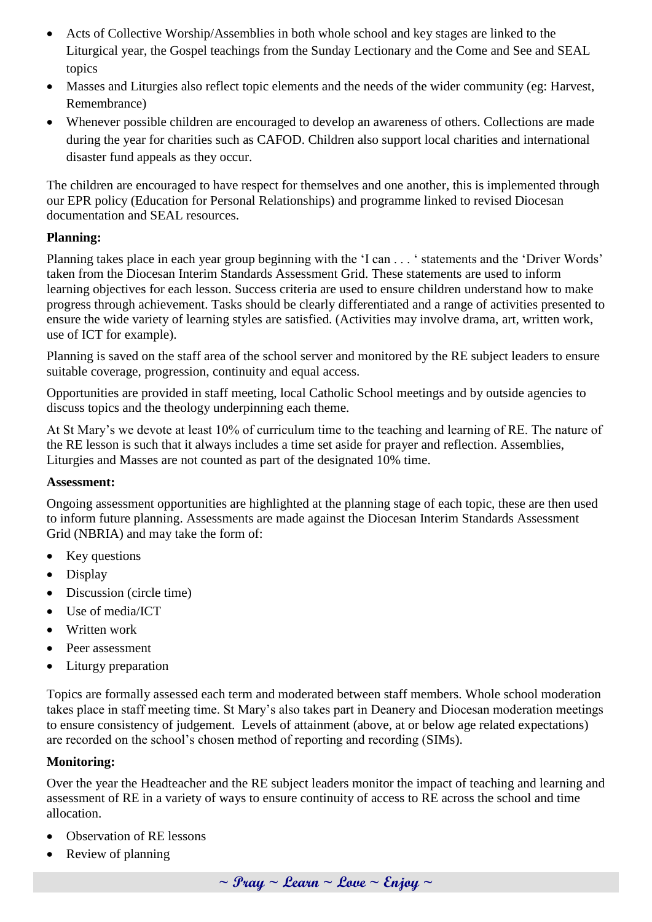- Acts of Collective Worship/Assemblies in both whole school and key stages are linked to the Liturgical year, the Gospel teachings from the Sunday Lectionary and the Come and See and SEAL topics
- Masses and Liturgies also reflect topic elements and the needs of the wider community (eg: Harvest, Remembrance)
- Whenever possible children are encouraged to develop an awareness of others. Collections are made during the year for charities such as CAFOD. Children also support local charities and international disaster fund appeals as they occur.

The children are encouraged to have respect for themselves and one another, this is implemented through our EPR policy (Education for Personal Relationships) and programme linked to revised Diocesan documentation and SEAL resources.

### **Planning:**

Planning takes place in each year group beginning with the 'I can . . . ' statements and the 'Driver Words' taken from the Diocesan Interim Standards Assessment Grid. These statements are used to inform learning objectives for each lesson. Success criteria are used to ensure children understand how to make progress through achievement. Tasks should be clearly differentiated and a range of activities presented to ensure the wide variety of learning styles are satisfied. (Activities may involve drama, art, written work, use of ICT for example).

Planning is saved on the staff area of the school server and monitored by the RE subject leaders to ensure suitable coverage, progression, continuity and equal access.

Opportunities are provided in staff meeting, local Catholic School meetings and by outside agencies to discuss topics and the theology underpinning each theme.

At St Mary's we devote at least 10% of curriculum time to the teaching and learning of RE. The nature of the RE lesson is such that it always includes a time set aside for prayer and reflection. Assemblies, Liturgies and Masses are not counted as part of the designated 10% time.

#### **Assessment:**

Ongoing assessment opportunities are highlighted at the planning stage of each topic, these are then used to inform future planning. Assessments are made against the Diocesan Interim Standards Assessment Grid (NBRIA) and may take the form of:

- Key questions
- Display
- Discussion (circle time)
- Use of media/ICT
- Written work
- Peer assessment
- Liturgy preparation

Topics are formally assessed each term and moderated between staff members. Whole school moderation takes place in staff meeting time. St Mary's also takes part in Deanery and Diocesan moderation meetings to ensure consistency of judgement. Levels of attainment (above, at or below age related expectations) are recorded on the school's chosen method of reporting and recording (SIMs).

#### **Monitoring:**

Over the year the Headteacher and the RE subject leaders monitor the impact of teaching and learning and assessment of RE in a variety of ways to ensure continuity of access to RE across the school and time allocation.

- Observation of RE lessons
- Review of planning

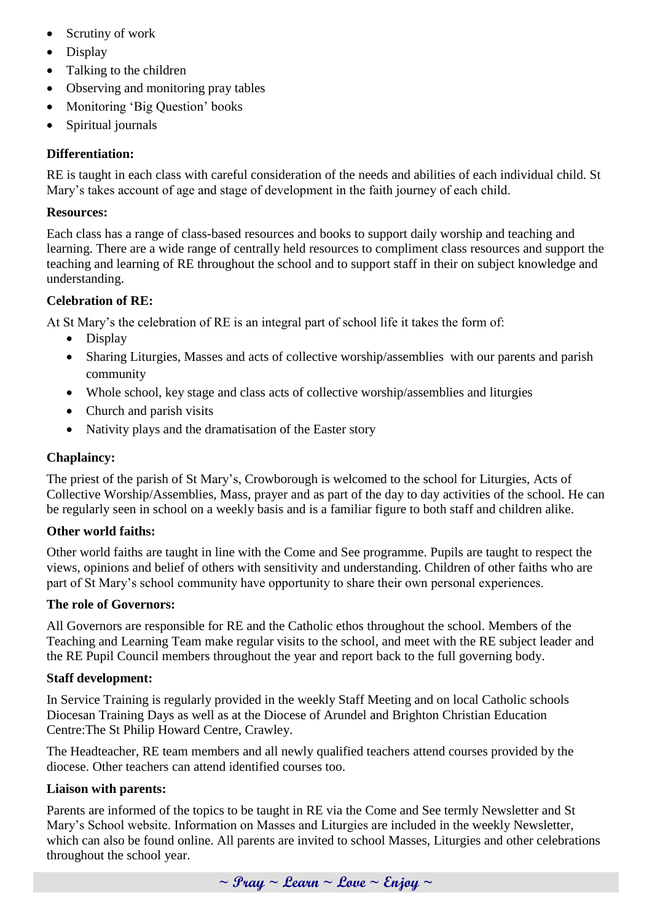- Scrutiny of work
- Display
- Talking to the children
- Observing and monitoring pray tables
- Monitoring 'Big Question' books
- Spiritual journals

#### **Differentiation:**

RE is taught in each class with careful consideration of the needs and abilities of each individual child. St Mary's takes account of age and stage of development in the faith journey of each child.

#### **Resources:**

Each class has a range of class-based resources and books to support daily worship and teaching and learning. There are a wide range of centrally held resources to compliment class resources and support the teaching and learning of RE throughout the school and to support staff in their on subject knowledge and understanding.

#### **Celebration of RE:**

At St Mary's the celebration of RE is an integral part of school life it takes the form of:

- Display
- Sharing Liturgies, Masses and acts of collective worship/assemblies with our parents and parish community
- Whole school, key stage and class acts of collective worship/assemblies and liturgies
- Church and parish visits
- Nativity plays and the dramatisation of the Easter story

#### **Chaplaincy:**

The priest of the parish of St Mary's, Crowborough is welcomed to the school for Liturgies, Acts of Collective Worship/Assemblies, Mass, prayer and as part of the day to day activities of the school. He can be regularly seen in school on a weekly basis and is a familiar figure to both staff and children alike.

#### **Other world faiths:**

Other world faiths are taught in line with the Come and See programme. Pupils are taught to respect the views, opinions and belief of others with sensitivity and understanding. Children of other faiths who are part of St Mary's school community have opportunity to share their own personal experiences.

#### **The role of Governors:**

All Governors are responsible for RE and the Catholic ethos throughout the school. Members of the Teaching and Learning Team make regular visits to the school, and meet with the RE subject leader and the RE Pupil Council members throughout the year and report back to the full governing body.

#### **Staff development:**

In Service Training is regularly provided in the weekly Staff Meeting and on local Catholic schools Diocesan Training Days as well as at the Diocese of Arundel and Brighton Christian Education Centre:The St Philip Howard Centre, Crawley.

The Headteacher, RE team members and all newly qualified teachers attend courses provided by the diocese. Other teachers can attend identified courses too.

#### **Liaison with parents:**

Parents are informed of the topics to be taught in RE via the Come and See termly Newsletter and St Mary's School website. Information on Masses and Liturgies are included in the weekly Newsletter, which can also be found online. All parents are invited to school Masses, Liturgies and other celebrations throughout the school year.

**~ Pray ~ Learn ~ Love ~ Enjoy ~**